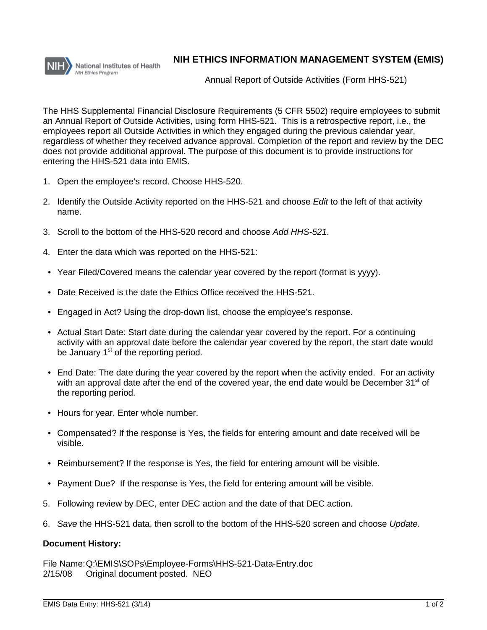

## **NIH ETHICS INFORMATION MANAGEMENT SYSTEM (EMIS)**

Annual Report of Outside Activities (Form HHS-521)

The HHS Supplemental Financial Disclosure Requirements (5 CFR 5502) require employees to submit an Annual Report of Outside Activities, using form HHS-521. This is a retrospective report, i.e., the employees report all Outside Activities in which they engaged during the previous calendar year, regardless of whether they received advance approval. Completion of the report and review by the DEC does not provide additional approval. The purpose of this document is to provide instructions for entering the HHS-521 data into EMIS.

- 1. Open the employee's record. Choose HHS-520.
- 2. Identify the Outside Activity reported on the HHS-521 and choose *Edit* to the left of that activity name.
- 3. Scroll to the bottom of the HHS-520 record and choose *Add HHS-521*.
- 4. Enter the data which was reported on the HHS-521:
- Year Filed/Covered means the calendar year covered by the report (format is yyyy).
- Date Received is the date the Ethics Office received the HHS-521.
- Engaged in Act? Using the drop-down list, choose the employee's response.
- Actual Start Date: Start date during the calendar year covered by the report. For a continuing activity with an approval date before the calendar year covered by the report, the start date would be January  $1<sup>st</sup>$  of the reporting period.
- End Date: The date during the year covered by the report when the activity ended. For an activity with an approval date after the end of the covered year, the end date would be December  $31<sup>st</sup>$  of the reporting period.
- Hours for year. Enter whole number.
- Compensated? If the response is Yes, the fields for entering amount and date received will be visible.
- Reimbursement? If the response is Yes, the field for entering amount will be visible.
- Payment Due? If the response is Yes, the field for entering amount will be visible.
- 5. Following review by DEC, enter DEC action and the date of that DEC action.
- 6. *Save* the HHS-521 data, then scroll to the bottom of the HHS-520 screen and choose *Update.*

## **Document History:**

File Name:Q:\EMIS\SOPs\Employee-Forms\HHS-521-Data-Entry.doc 2/15/08 Original document posted. NEO